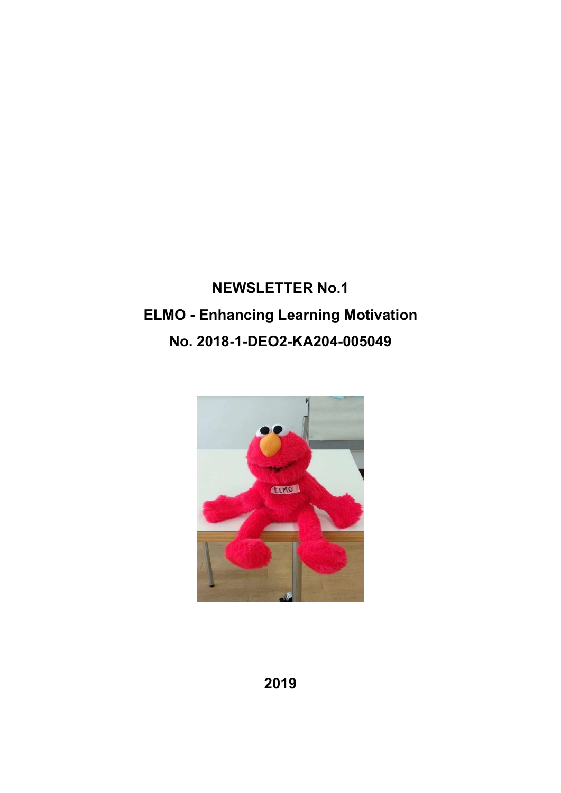# NEWSLETTER No.1 ELMO - Enhancing Learning Motivation No. 2018-1-DEO2-KA204-005049

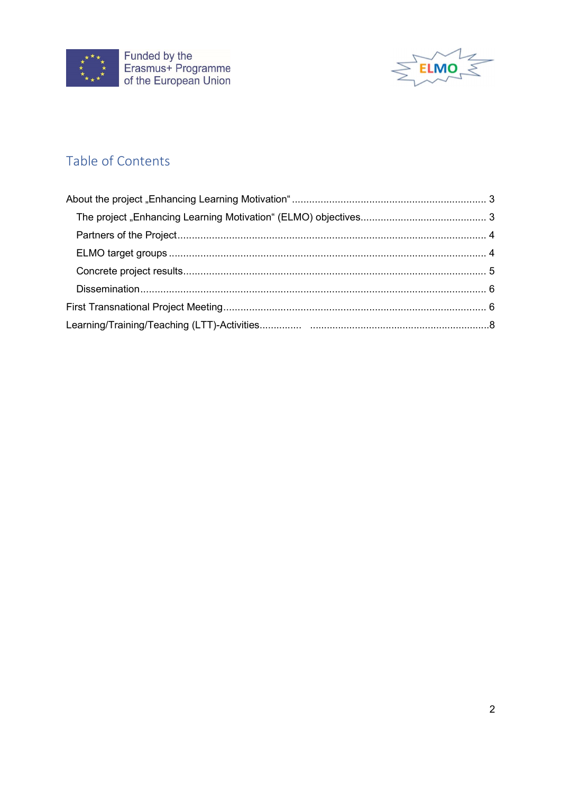



# Table of Contents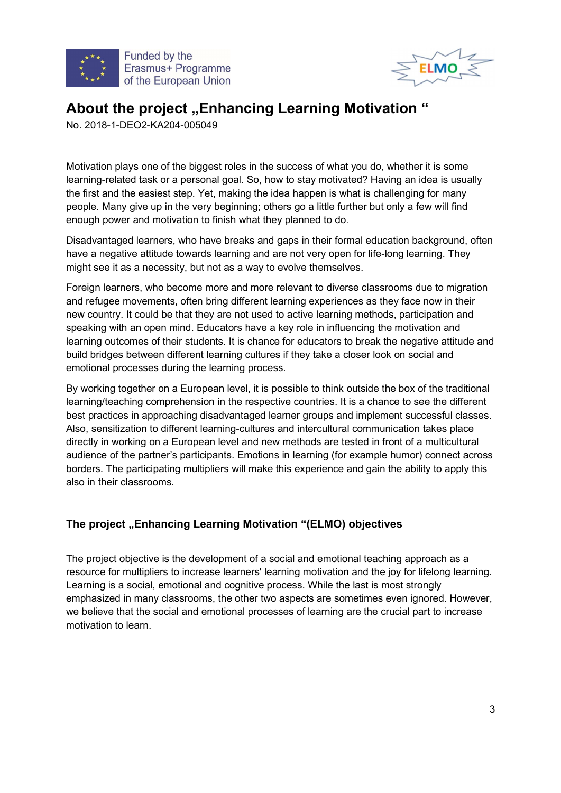



# About the project ..Enhancing Learning Motivation "

No. 2018-1-DEO2-KA204-005049

Motivation plays one of the biggest roles in the success of what you do, whether it is some learning-related task or a personal goal. So, how to stay motivated? Having an idea is usually the first and the easiest step. Yet, making the idea happen is what is challenging for many people. Many give up in the very beginning; others go a little further but only a few will find

enough power and motivation to finish what they planned to do. Disadvantaged learners, who have breaks and gaps in their formal education background, often have a negative attitude towards learning and are not very open for life-long learning. They might see it as a necessity, but not as a way to evolve themselves.

Foreign learners, who become more and more relevant to diverse classrooms due to migration and refugee movements, often bring different learning experiences as they face now in their new country. It could be that they are not used to active learning methods, participation and speaking with an open mind. Educators have a key role in influencing the motivation and learning outcomes of their students. It is chance for educators to break the negative attitude and build bridges between different learning cultures if they take a closer look on social and emotional processes during the learning process.

By working together on a European level, it is possible to think outside the box of the traditional learning/teaching comprehension in the respective countries. It is a chance to see the different best practices in approaching disadvantaged learner groups and implement successful classes. Also, sensitization to different learning-cultures and intercultural communication takes place directly in working on a European level and new methods are tested in front of a multicultural audience of the partner's participants. Emotions in learning (for example humor) connect across borders. The participating multipliers will make this experience and gain the ability to apply this also in their classrooms.

# The project "Enhancing Learning Motivation "(ELMO) objectives

The project objective is the development of a social and emotional teaching approach as a resource for multipliers to increase learners' learning motivation and the joy for lifelong learning. Learning is a social, emotional and cognitive process. While the last is most strongly emphasized in many classrooms, the other two aspects are sometimes even ignored. However, we believe that the social and emotional processes of learning are the crucial part to increase motivation to learn.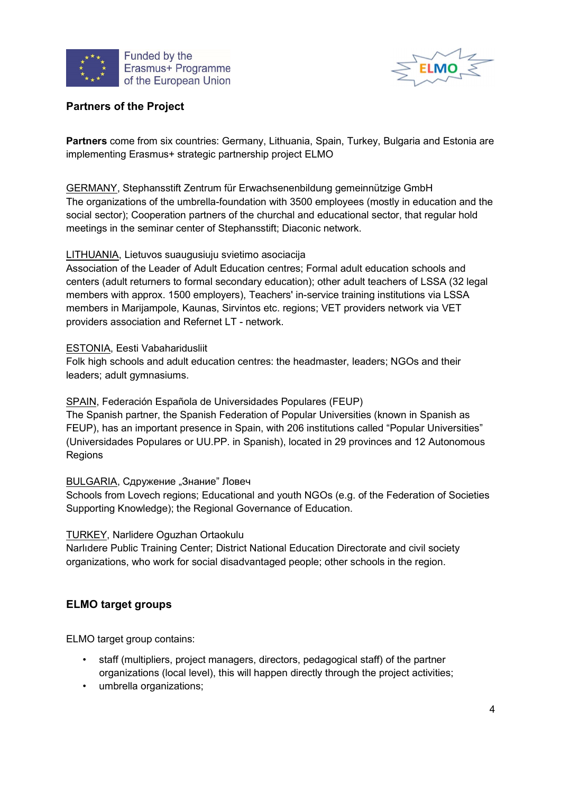



### Partners of the Project

Partners come from six countries: Germany, Lithuania, Spain, Turkey, Bulgaria and Estonia are implementing Erasmus+ strategic partnership project ELMO

GERMANY, Stephansstift Zentrum für Erwachsenenbildung gemeinnützige GmbH The organizations of the umbrella-foundation with 3500 employees (mostly in education and the social sector); Cooperation partners of the churchal and educational sector, that regular hold meetings in the seminar center of Stephansstift; Diaconic network.

#### LITHUANIA, Lietuvos suaugusiuju svietimo asociacija

Association of the Leader of Adult Education centres; Formal adult education schools and centers (adult returners to formal secondary education); other adult teachers of LSSA (32 legal members with approx. 1500 employers), Teachers' in-service training institutions via LSSA members in Marijampole, Kaunas, Sirvintos etc. regions; VET providers network via VET providers association and Refernet LT - network.

#### ESTONIA, Eesti Vabaharidusliit

Folk high schools and adult education centres: the headmaster, leaders; NGOs and their leaders; adult gymnasiums.

#### SPAIN, Federación Española de Universidades Populares (FEUP)

The Spanish partner, the Spanish Federation of Popular Universities (known in Spanish as FEUP), has an important presence in Spain, with 206 institutions called "Popular Universities" (Universidades Populares or UU.PP. in Spanish), located in 29 provinces and 12 Autonomous Regions

#### BULGARIA, Сдружение "Знание" Ловеч

Schools from Lovech regions; Educational and youth NGOs (e.g. of the Federation of Societies Supporting Knowledge); the Regional Governance of Education.

#### TURKEY, Narlidere Oguzhan Ortaokulu

Narlıdere Public Training Center; District National Education Directorate and civil society organizations, who work for social disadvantaged people; other schools in the region.

#### ELMO target groups

ELMO target group contains:

- staff (multipliers, project managers, directors, pedagogical staff) of the partner organizations (local level), this will happen directly through the project activities;
- umbrella organizations;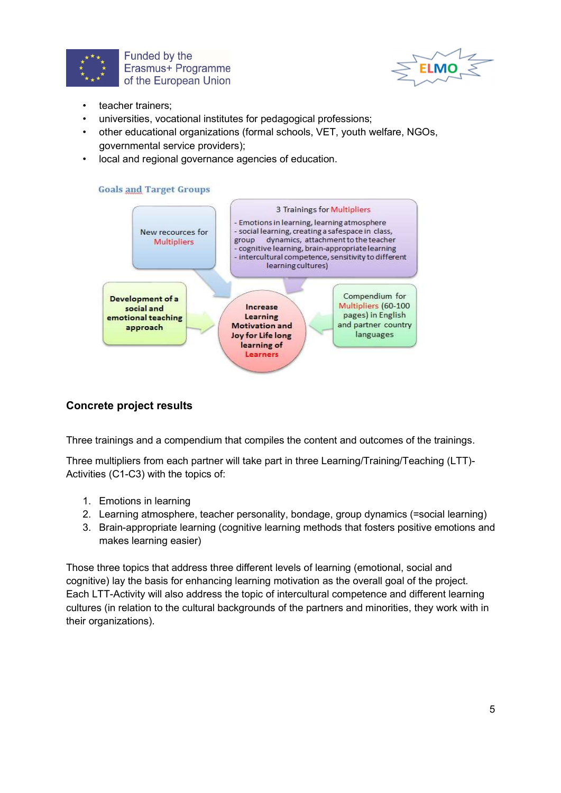



- teacher trainers:
- universities, vocational institutes for pedagogical professions;
- other educational organizations (formal schools, VET, youth welfare, NGOs, governmental service providers);
- local and regional governance agencies of education.





### Concrete project results

Three trainings and a compendium that compiles the content and outcomes of the trainings.

Three multipliers from each partner will take part in three Learning/Training/Teaching (LTT)- Activities (C1-C3) with the topics of:

- 1. Emotions in learning
- 2. Learning atmosphere, teacher personality, bondage, group dynamics (=social learning)
- 3. Brain-appropriate learning (cognitive learning methods that fosters positive emotions and makes learning easier)

Those three topics that address three different levels of learning (emotional, social and cognitive) lay the basis for enhancing learning motivation as the overall goal of the project. Each LTT-Activity will also address the topic of intercultural competence and different learning cultures (in relation to the cultural backgrounds of the partners and minorities, they work with in their organizations).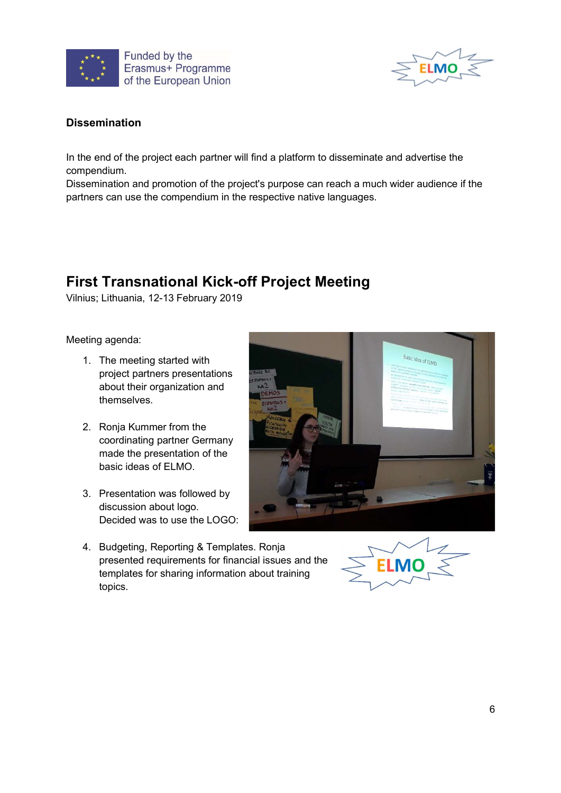



### Dissemination

In the end of the project each partner will find a platform to disseminate and advertise the compendium.

Dissemination and promotion of the project's purpose can reach a much wider audience if the partners can use the compendium in the respective native languages.

# First Transnational Kick-off Project Meeting

Vilnius; Lithuania, 12-13 February 2019

Meeting agenda:

- 1. The meeting started with project partners presentations about their organization and themselves.
- 2. Ronja Kummer from the coordinating partner Germany made the presentation of the basic ideas of ELMO.
- 3. Presentation was followed by discussion about logo. Decided was to use the LOGO:



4. Budgeting, Reporting & Templates. Ronja presented requirements for financial issues and the templates for sharing information about training topics.

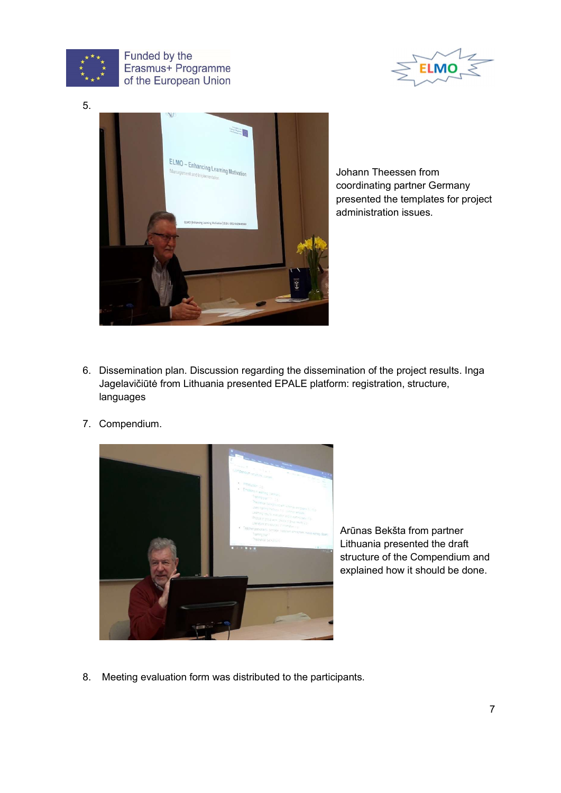

Funded by the Erasmus+ Programme of the European Union





Johann Theessen from coordinating partner Germany presented the templates for project administration issues.

- 6. Dissemination plan. Discussion regarding the dissemination of the project results. Inga Jagelavičiūtė from Lithuania presented EPALE platform: registration, structure, languages
- 7. Compendium.



Arūnas Bekšta from partner Lithuania presented the draft structure of the Compendium and explained how it should be done.

8. Meeting evaluation form was distributed to the participants.